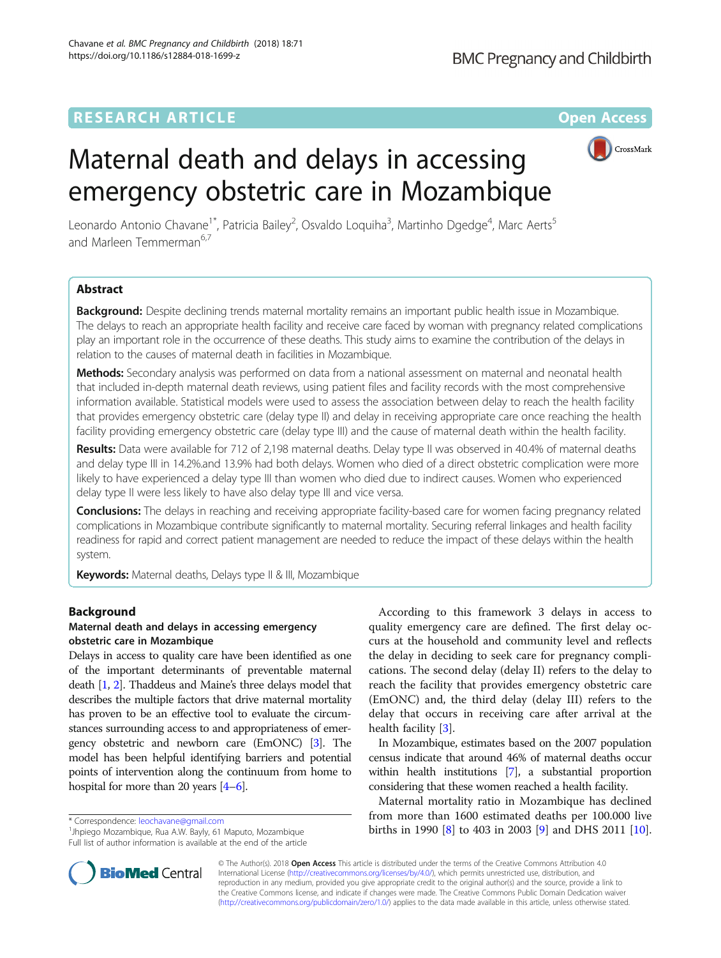# **RESEARCH ARTICLE Example 2014 12:30 The Contract of Contract ACCESS**

CrossMark



Leonardo Antonio Chavane<sup>1\*</sup>, Patricia Bailey<sup>2</sup>, Osvaldo Loquiha<sup>3</sup>, Martinho Dgedge<sup>4</sup>, Marc Aerts<sup>5</sup> and Marleen Temmerman<sup>6,7</sup>

# Abstract

Background: Despite declining trends maternal mortality remains an important public health issue in Mozambique. The delays to reach an appropriate health facility and receive care faced by woman with pregnancy related complications play an important role in the occurrence of these deaths. This study aims to examine the contribution of the delays in relation to the causes of maternal death in facilities in Mozambique.

Methods: Secondary analysis was performed on data from a national assessment on maternal and neonatal health that included in-depth maternal death reviews, using patient files and facility records with the most comprehensive information available. Statistical models were used to assess the association between delay to reach the health facility that provides emergency obstetric care (delay type II) and delay in receiving appropriate care once reaching the health facility providing emergency obstetric care (delay type III) and the cause of maternal death within the health facility.

Results: Data were available for 712 of 2,198 maternal deaths. Delay type II was observed in 40.4% of maternal deaths and delay type III in 14.2%.and 13.9% had both delays. Women who died of a direct obstetric complication were more likely to have experienced a delay type III than women who died due to indirect causes. Women who experienced delay type II were less likely to have also delay type III and vice versa.

**Conclusions:** The delays in reaching and receiving appropriate facility-based care for women facing pregnancy related complications in Mozambique contribute significantly to maternal mortality. Securing referral linkages and health facility readiness for rapid and correct patient management are needed to reduce the impact of these delays within the health system.

Keywords: Maternal deaths, Delays type II & III, Mozambique

# Background

# Maternal death and delays in accessing emergency obstetric care in Mozambique

Delays in access to quality care have been identified as one of the important determinants of preventable maternal death [\[1,](#page-6-0) [2\]](#page-6-0). Thaddeus and Maine's three delays model that describes the multiple factors that drive maternal mortality has proven to be an effective tool to evaluate the circumstances surrounding access to and appropriateness of emergency obstetric and newborn care (EmONC) [\[3\]](#page-6-0). The model has been helpful identifying barriers and potential points of intervention along the continuum from home to hospital for more than 20 years [[4](#page-6-0)–[6\]](#page-6-0).

<sup>1</sup> Jhpiego Mozambique, Rua A.W. Bayly, 61 Maputo, Mozambique Full list of author information is available at the end of the article



In Mozambique, estimates based on the 2007 population census indicate that around 46% of maternal deaths occur within health institutions [\[7](#page-6-0)], a substantial proportion considering that these women reached a health facility.

Maternal mortality ratio in Mozambique has declined from more than 1600 estimated deaths per 100.000 live births in 1990 [\[8](#page-6-0)] to 403 in 2003 [\[9](#page-6-0)] and DHS 2011 [\[10](#page-6-0)]. \* Correspondence: [leochavane@gmail.com](mailto:leochavane@gmail.com) <sup>1</sup>



© The Author(s). 2018 Open Access This article is distributed under the terms of the Creative Commons Attribution 4.0 International License [\(http://creativecommons.org/licenses/by/4.0/](http://creativecommons.org/licenses/by/4.0/)), which permits unrestricted use, distribution, and reproduction in any medium, provided you give appropriate credit to the original author(s) and the source, provide a link to the Creative Commons license, and indicate if changes were made. The Creative Commons Public Domain Dedication waiver [\(http://creativecommons.org/publicdomain/zero/1.0/](http://creativecommons.org/publicdomain/zero/1.0/)) applies to the data made available in this article, unless otherwise stated.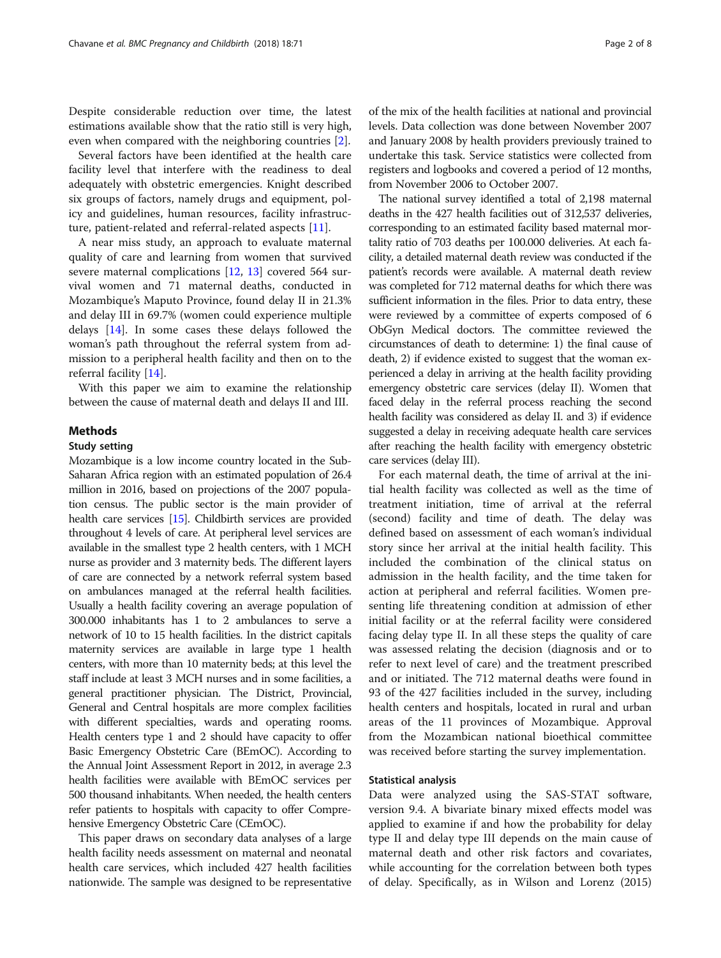Despite considerable reduction over time, the latest estimations available show that the ratio still is very high, even when compared with the neighboring countries [\[2](#page-6-0)].

Several factors have been identified at the health care facility level that interfere with the readiness to deal adequately with obstetric emergencies. Knight described six groups of factors, namely drugs and equipment, policy and guidelines, human resources, facility infrastructure, patient-related and referral-related aspects [\[11](#page-6-0)].

A near miss study, an approach to evaluate maternal quality of care and learning from women that survived severe maternal complications [[12,](#page-6-0) [13](#page-6-0)] covered 564 survival women and 71 maternal deaths, conducted in Mozambique's Maputo Province, found delay II in 21.3% and delay III in 69.7% (women could experience multiple delays [\[14](#page-6-0)]. In some cases these delays followed the woman's path throughout the referral system from admission to a peripheral health facility and then on to the referral facility [\[14](#page-6-0)].

With this paper we aim to examine the relationship between the cause of maternal death and delays II and III.

# Methods

## Study setting

Mozambique is a low income country located in the Sub-Saharan Africa region with an estimated population of 26.4 million in 2016, based on projections of the 2007 population census. The public sector is the main provider of health care services [[15\]](#page-6-0). Childbirth services are provided throughout 4 levels of care. At peripheral level services are available in the smallest type 2 health centers, with 1 MCH nurse as provider and 3 maternity beds. The different layers of care are connected by a network referral system based on ambulances managed at the referral health facilities. Usually a health facility covering an average population of 300.000 inhabitants has 1 to 2 ambulances to serve a network of 10 to 15 health facilities. In the district capitals maternity services are available in large type 1 health centers, with more than 10 maternity beds; at this level the staff include at least 3 MCH nurses and in some facilities, a general practitioner physician. The District, Provincial, General and Central hospitals are more complex facilities with different specialties, wards and operating rooms. Health centers type 1 and 2 should have capacity to offer Basic Emergency Obstetric Care (BEmOC). According to the Annual Joint Assessment Report in 2012, in average 2.3 health facilities were available with BEmOC services per 500 thousand inhabitants. When needed, the health centers refer patients to hospitals with capacity to offer Comprehensive Emergency Obstetric Care (CEmOC).

This paper draws on secondary data analyses of a large health facility needs assessment on maternal and neonatal health care services, which included 427 health facilities nationwide. The sample was designed to be representative

of the mix of the health facilities at national and provincial levels. Data collection was done between November 2007 and January 2008 by health providers previously trained to undertake this task. Service statistics were collected from registers and logbooks and covered a period of 12 months, from November 2006 to October 2007.

The national survey identified a total of 2,198 maternal deaths in the 427 health facilities out of 312,537 deliveries, corresponding to an estimated facility based maternal mortality ratio of 703 deaths per 100.000 deliveries. At each facility, a detailed maternal death review was conducted if the patient's records were available. A maternal death review was completed for 712 maternal deaths for which there was sufficient information in the files. Prior to data entry, these were reviewed by a committee of experts composed of 6 ObGyn Medical doctors. The committee reviewed the circumstances of death to determine: 1) the final cause of death, 2) if evidence existed to suggest that the woman experienced a delay in arriving at the health facility providing emergency obstetric care services (delay II). Women that faced delay in the referral process reaching the second health facility was considered as delay II. and 3) if evidence suggested a delay in receiving adequate health care services after reaching the health facility with emergency obstetric care services (delay III).

For each maternal death, the time of arrival at the initial health facility was collected as well as the time of treatment initiation, time of arrival at the referral (second) facility and time of death. The delay was defined based on assessment of each woman's individual story since her arrival at the initial health facility. This included the combination of the clinical status on admission in the health facility, and the time taken for action at peripheral and referral facilities. Women presenting life threatening condition at admission of ether initial facility or at the referral facility were considered facing delay type II. In all these steps the quality of care was assessed relating the decision (diagnosis and or to refer to next level of care) and the treatment prescribed and or initiated. The 712 maternal deaths were found in 93 of the 427 facilities included in the survey, including health centers and hospitals, located in rural and urban areas of the 11 provinces of Mozambique. Approval from the Mozambican national bioethical committee was received before starting the survey implementation.

#### Statistical analysis

Data were analyzed using the SAS-STAT software, version 9.4. A bivariate binary mixed effects model was applied to examine if and how the probability for delay type II and delay type III depends on the main cause of maternal death and other risk factors and covariates, while accounting for the correlation between both types of delay. Specifically, as in Wilson and Lorenz (2015)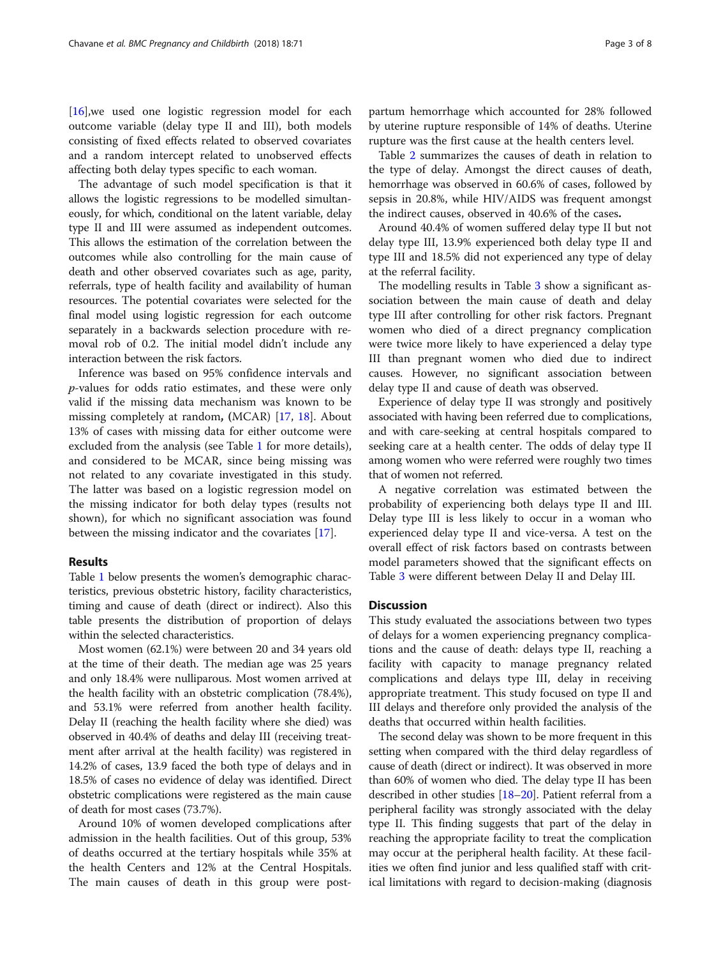[[16\]](#page-6-0), we used one logistic regression model for each outcome variable (delay type II and III), both models consisting of fixed effects related to observed covariates and a random intercept related to unobserved effects affecting both delay types specific to each woman.

The advantage of such model specification is that it allows the logistic regressions to be modelled simultaneously, for which, conditional on the latent variable, delay type II and III were assumed as independent outcomes. This allows the estimation of the correlation between the outcomes while also controlling for the main cause of death and other observed covariates such as age, parity, referrals, type of health facility and availability of human resources. The potential covariates were selected for the final model using logistic regression for each outcome separately in a backwards selection procedure with removal rob of 0.2. The initial model didn't include any interaction between the risk factors.

Inference was based on 95% confidence intervals and p-values for odds ratio estimates, and these were only valid if the missing data mechanism was known to be missing completely at random, (MCAR) [[17](#page-6-0), [18\]](#page-6-0). About 13% of cases with missing data for either outcome were excluded from the analysis (see Table [1](#page-3-0) for more details), and considered to be MCAR, since being missing was not related to any covariate investigated in this study. The latter was based on a logistic regression model on the missing indicator for both delay types (results not shown), for which no significant association was found between the missing indicator and the covariates [[17\]](#page-6-0).

# Results

Table [1](#page-3-0) below presents the women's demographic characteristics, previous obstetric history, facility characteristics, timing and cause of death (direct or indirect). Also this table presents the distribution of proportion of delays within the selected characteristics.

Most women (62.1%) were between 20 and 34 years old at the time of their death. The median age was 25 years and only 18.4% were nulliparous. Most women arrived at the health facility with an obstetric complication (78.4%), and 53.1% were referred from another health facility. Delay II (reaching the health facility where she died) was observed in 40.4% of deaths and delay III (receiving treatment after arrival at the health facility) was registered in 14.2% of cases, 13.9 faced the both type of delays and in 18.5% of cases no evidence of delay was identified. Direct obstetric complications were registered as the main cause of death for most cases (73.7%).

Around 10% of women developed complications after admission in the health facilities. Out of this group, 53% of deaths occurred at the tertiary hospitals while 35% at the health Centers and 12% at the Central Hospitals. The main causes of death in this group were post-

partum hemorrhage which accounted for 28% followed by uterine rupture responsible of 14% of deaths. Uterine rupture was the first cause at the health centers level.

Table [2](#page-4-0) summarizes the causes of death in relation to the type of delay. Amongst the direct causes of death, hemorrhage was observed in 60.6% of cases, followed by sepsis in 20.8%, while HIV/AIDS was frequent amongst the indirect causes, observed in 40.6% of the cases.

Around 40.4% of women suffered delay type II but not delay type III, 13.9% experienced both delay type II and type III and 18.5% did not experienced any type of delay at the referral facility.

The modelling results in Table [3](#page-4-0) show a significant association between the main cause of death and delay type III after controlling for other risk factors. Pregnant women who died of a direct pregnancy complication were twice more likely to have experienced a delay type III than pregnant women who died due to indirect causes. However, no significant association between delay type II and cause of death was observed.

Experience of delay type II was strongly and positively associated with having been referred due to complications, and with care-seeking at central hospitals compared to seeking care at a health center. The odds of delay type II among women who were referred were roughly two times that of women not referred.

A negative correlation was estimated between the probability of experiencing both delays type II and III. Delay type III is less likely to occur in a woman who experienced delay type II and vice-versa. A test on the overall effect of risk factors based on contrasts between model parameters showed that the significant effects on Table [3](#page-4-0) were different between Delay II and Delay III.

# **Discussion**

This study evaluated the associations between two types of delays for a women experiencing pregnancy complications and the cause of death: delays type II, reaching a facility with capacity to manage pregnancy related complications and delays type III, delay in receiving appropriate treatment. This study focused on type II and III delays and therefore only provided the analysis of the deaths that occurred within health facilities.

The second delay was shown to be more frequent in this setting when compared with the third delay regardless of cause of death (direct or indirect). It was observed in more than 60% of women who died. The delay type II has been described in other studies  $[18–20]$  $[18–20]$  $[18–20]$  $[18–20]$ . Patient referral from a peripheral facility was strongly associated with the delay type II. This finding suggests that part of the delay in reaching the appropriate facility to treat the complication may occur at the peripheral health facility. At these facilities we often find junior and less qualified staff with critical limitations with regard to decision-making (diagnosis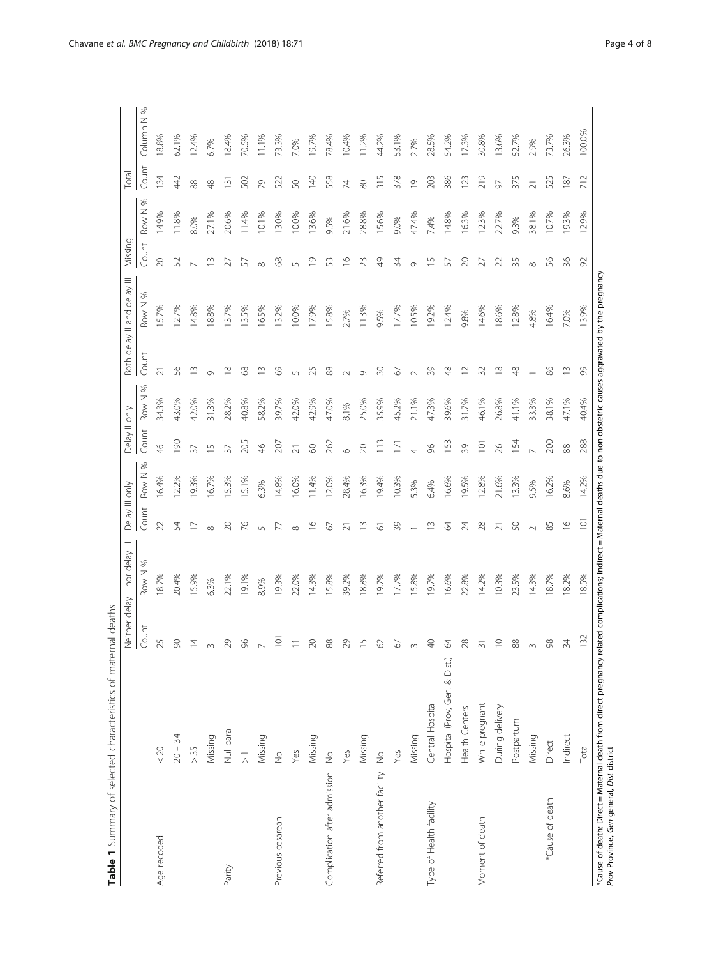<span id="page-3-0"></span>

| Table 1 Summary of selected characteristics of matern                                                           |                               |           | Neither delay II nor delay III                                                                         | Delay III only           |            | Delay II only   |            |                   | Ξ<br>Both delay II and delay | Missing        |            | Total              |                          |
|-----------------------------------------------------------------------------------------------------------------|-------------------------------|-----------|--------------------------------------------------------------------------------------------------------|--------------------------|------------|-----------------|------------|-------------------|------------------------------|----------------|------------|--------------------|--------------------------|
|                                                                                                                 |                               | Count     | ℅<br>Row N                                                                                             | Count                    | ℅<br>Row N | Count           | ℅<br>Row N | Count             | ℅<br>Row N                   | Count          | %<br>Row N | Count              | ℅<br>Column <sub>N</sub> |
| Age recoded                                                                                                     | $< 20$                        | 25        | 8.7%                                                                                                   | 22                       | 6.4%       | $\frac{4}{6}$   | 34.3%      | $\overline{\sim}$ | 5.7%                         | $\gtrsim$      | 14.9%      | 134                | 18.8%                    |
|                                                                                                                 | $20 - 34$                     | ନ୍ଥ       | 20.4%                                                                                                  | 54                       | 2.2%       | $\frac{8}{2}$   | 43.0%      | S6                | 12.7%                        | 52             | 11.8%      | 42                 | 62.1%                    |
|                                                                                                                 | $> 35$                        |           | 5.9%                                                                                                   | $\overline{\phantom{0}}$ | 9.3%       | 37              | 42.0%      | S                 | 14.8%                        |                | 8.0%       | 88                 | 12.4%                    |
|                                                                                                                 | Missing                       |           | 6.3%                                                                                                   | $\infty$                 | 6.7%       | S               | 31.3%      |                   | 18.8%                        | $\tilde{=}$    | 27.1%      | $\frac{\infty}{4}$ | 6.7%                     |
| Parity                                                                                                          | Nullipara                     | O         | 22.1%                                                                                                  | $\approx$                | 5.3%       | 37              | 28.2%      | $\infty$          | 13.7%                        | 27             | 20.6%      | $\overline{3}$     | 18.4%                    |
|                                                                                                                 | $\overline{\wedge}$           | $\approx$ | 19.1%                                                                                                  | $\frac{8}{2}$            | 5.1%       | 205             | 40.8%      | 8                 | 13.5%                        | 5              | 11.4%      | 502                | 70.5%                    |
|                                                                                                                 | Missing                       |           | 8.9%                                                                                                   | $\sqrt{2}$               | 6.3%       | $\frac{46}{5}$  | 58.2%      | S                 | 16.5%                        | $\infty$       | 10.1%      | ρQ                 | 11.1%                    |
| Previous cesarean                                                                                               | $\frac{9}{2}$                 | 5         | 19.3%                                                                                                  | Z                        | 14.8%      | 207             | 39.7%      | S9                | 13.2%                        | $\frac{8}{6}$  | 13.0%      | 522                | 73.3%                    |
|                                                                                                                 | Yes                           |           | 22.0%                                                                                                  | $\infty$                 | 16.0%      | $\overline{21}$ | 42.0%      |                   | 10.0%                        | $\sqrt{2}$     | 10.0%      | 50                 | 7.0%                     |
|                                                                                                                 | Missing                       | Q         | 14.3%                                                                                                  | $\frac{6}{1}$            | 11.4%      | 8               | 42.9%      | న                 | 17.9%                        | $\overline{0}$ | 13.6%      | $\overline{140}$   | 19.7%                    |
| Complication after admission                                                                                    | $\frac{1}{2}$                 |           | 15.8%                                                                                                  | 67                       | 12.0%      | 262             | 47.0%      | 88                | 15.8%                        | S              | 9.5%       | 558                | 78.4%                    |
|                                                                                                                 | Yes                           |           | 39.2%                                                                                                  | $\overline{c}$           | 28.4%      | $\circ$         | 8.1%       |                   | 2.7%                         | $\frac{8}{1}$  | 21.6%      | $\overline{7}$     | 10.4%                    |
|                                                                                                                 | Missing                       |           | 18.8%                                                                                                  | $\frac{3}{2}$            | 16.3%      | 20              | 25.0%      | $\circ$           | 11.3%                        | 23             | 28.8%      | 80                 | 11.2%                    |
| Referred from another facility                                                                                  | $\frac{1}{2}$                 |           | 19.7%                                                                                                  | 5                        | 194%       | $\frac{3}{2}$   | 35.9%      | $\approx$         | 9.5%                         | $\frac{1}{2}$  | 15.6%      | 315                | 44.2%                    |
|                                                                                                                 | Yes                           |           | 17.7%                                                                                                  | 39                       | 10.3%      | $\sim$          | 45.2%      | 2                 | 17.7%                        | 34             | 9.0%       | 378                | 53.1%                    |
|                                                                                                                 | Missing                       |           | 15.8%                                                                                                  |                          | 5.3%       |                 | 21.1%      |                   | 10.5%                        | Ō              | 47.4%      | $\overline{0}$     | 2.7%                     |
| Type of Health facility                                                                                         | Central Hospital              | Q         | 19.7%                                                                                                  | $\tilde{=}$              | 6.4%       | 96              | 47.3%      | 39                | 19.2%                        | $\overline{5}$ | 7.4%       | 203                | 28.5%                    |
|                                                                                                                 | Hospital (Prov, Gen. & Dist.) |           | 16.6%                                                                                                  | $\mathcal{R}$            | 16.6%      | 153             | 39.6%      | ₩                 | 12.4%                        | 5              | 14.8%      | 386                | 54.2%                    |
|                                                                                                                 | Health Centers                | Ō.        | 22.8%                                                                                                  | 24                       | 19.5%      | 39              | 31.7%      | $\sim$            | 9.8%                         | 20             | 16.3%      | 123                | 17.3%                    |
| Moment of death                                                                                                 | While pregnant                |           | 14.2%                                                                                                  | 28                       | 12.8%      | $\overline{2}$  | 46.1%      |                   | 14.6%                        | 27             | 12.3%      | 219                | 30.8%                    |
|                                                                                                                 | During delivery               |           | 10.3%                                                                                                  | $\overline{\sim}$        | 21.6%      | 26              | 26.8%      | $\infty$          | 18.6%                        | N              | 22.7%      | 57                 | 13.6%                    |
|                                                                                                                 | Postpartum                    | öΰ        | 23.5%                                                                                                  | S                        | 13.3%      | 54              | 41.1%      | $\frac{8}{4}$     | 12.8%                        | 35             | 9.3%       | 375                | 52.7%                    |
|                                                                                                                 | Missing                       |           | 14.3%                                                                                                  | $\sim$                   | 9.5%       |                 | 33.3%      |                   | 4.8%                         | $\infty$       | 38.1%      |                    | 2.9%                     |
| *Cause of death                                                                                                 | Direct                        | ∞         | 18.7%                                                                                                  | 85                       | 16.2%      | 200             | 38.1%      | 86                | 16.4%                        | 56             | 10.7%      | 525                | 73.7%                    |
|                                                                                                                 | Indirect                      | 4         | 18.2%                                                                                                  | $\frac{\circ}{\circ}$    | 8.6%       | $88$            | 47.1%      | $\tilde{=}$       | 7.0%                         | 36             | 9.3%       | 187                | 26.3%                    |
|                                                                                                                 | Total                         | 32        | 18.5%                                                                                                  | $\overline{a}$           | 14.2%      | 288             | 40.4%      | 99                | 13.9%                        | $\Im$          | 12.9%      | 712                | 100.0%                   |
| *Cause of death: Direct = Maternal death from direct pregnancy rel<br>Prov Province, Gen general, Dist district |                               |           | ated complications; Indirect = Maternal deaths due to non-obstetric causes aggravated by the pregnancy |                          |            |                 |            |                   |                              |                |            |                    |                          |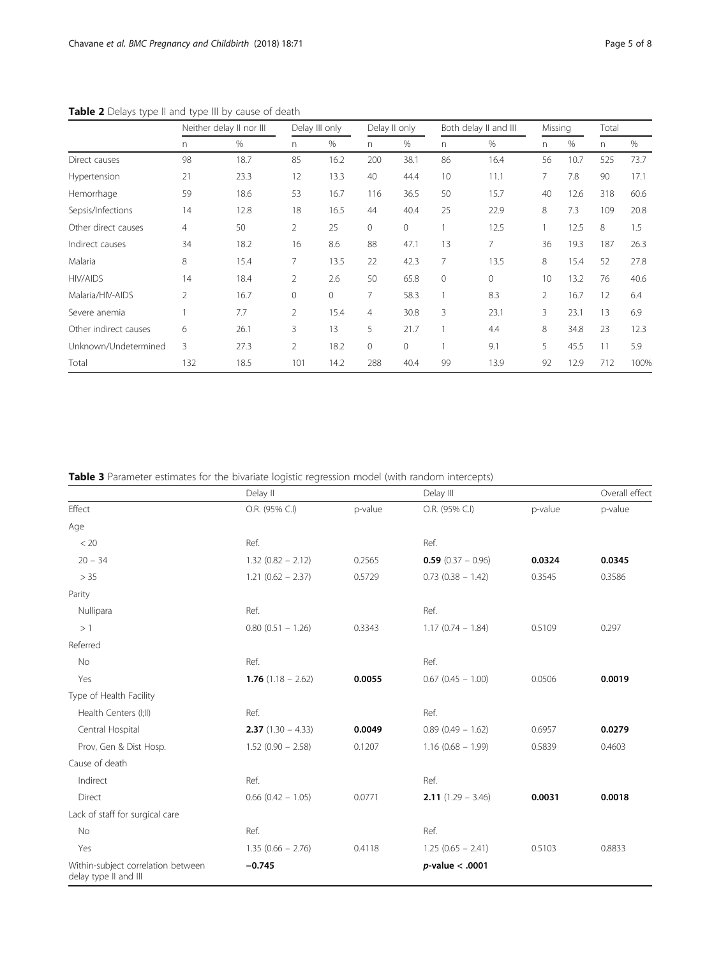|                       |                | Neither delay II nor III |                | Delay III only |              | Delay II only |    | Both delay II and III | Missing |      | Total |      |
|-----------------------|----------------|--------------------------|----------------|----------------|--------------|---------------|----|-----------------------|---------|------|-------|------|
|                       | n.             | %                        | n              | %              | n.           | $\%$          | n. | $\%$                  | n.      | %    | n.    | $\%$ |
| Direct causes         | 98             | 18.7                     | 85             | 16.2           | 200          | 38.1          | 86 | 16.4                  | 56      | 10.7 | 525   | 73.7 |
| Hypertension          | 21             | 23.3                     | 12             | 13.3           | 40           | 44.4          | 10 | 11.1                  |         | 7.8  | 90    | 17.1 |
| Hemorrhage            | 59             | 18.6                     | 53             | 16.7           | 116          | 36.5          | 50 | 15.7                  | 40      | 12.6 | 318   | 60.6 |
| Sepsis/Infections     | 14             | 12.8                     | 18             | 16.5           | 44           | 40.4          | 25 | 22.9                  | 8       | 7.3  | 109   | 20.8 |
| Other direct causes   | $\overline{4}$ | 50                       | $\overline{2}$ | 25             | $\mathbf{0}$ | $\mathbf{0}$  |    | 12.5                  |         | 12.5 | 8     | 1.5  |
| Indirect causes       | 34             | 18.2                     | 16             | 8.6            | 88           | 47.1          | 13 | 7                     | 36      | 19.3 | 187   | 26.3 |
| Malaria               | 8              | 15.4                     | 7              | 13.5           | 22           | 42.3          | 7  | 13.5                  | 8       | 15.4 | 52    | 27.8 |
| <b>HIV/AIDS</b>       | 14             | 18.4                     | 2              | 2.6            | 50           | 65.8          | 0  | 0                     | 10      | 13.2 | 76    | 40.6 |
| Malaria/HIV-AIDS      | $\overline{2}$ | 16.7                     | $\Omega$       | $\mathbf 0$    | 7            | 58.3          |    | 8.3                   | 2       | 16.7 | 12    | 6.4  |
| Severe anemia         |                | 7.7                      | $\overline{2}$ | 15.4           | 4            | 30.8          | 3  | 23.1                  | 3       | 23.1 | 13    | 6.9  |
| Other indirect causes | 6              | 26.1                     | 3              | 13             | 5            | 21.7          |    | 4.4                   | 8       | 34.8 | 23    | 12.3 |
| Unknown/Undetermined  | 3              | 27.3                     | $\overline{2}$ | 18.2           | 0            | $\mathbf{0}$  |    | 9.1                   | 5       | 45.5 | 11    | 5.9  |
| Total                 | 132            | 18.5                     | 101            | 14.2           | 288          | 40.4          | 99 | 13.9                  | 92      | 12.9 | 712   | 100% |

<span id="page-4-0"></span>Table 2 Delays type II and type III by cause of death

Table 3 Parameter estimates for the bivariate logistic regression model (with random intercepts)

|                                                             | Delay II                    |         | Delay III                   |         | Overall effect |
|-------------------------------------------------------------|-----------------------------|---------|-----------------------------|---------|----------------|
| Effect                                                      | O.R. (95% C.I)              | p-value | O.R. (95% C.I)              | p-value | p-value        |
| Age                                                         |                             |         |                             |         |                |
| < 20                                                        | Ref.                        |         | Ref.                        |         |                |
| $20 - 34$                                                   | $1.32(0.82 - 2.12)$         | 0.2565  | $0.59(0.37 - 0.96)$         | 0.0324  | 0.0345         |
| > 35                                                        | $1.21 (0.62 - 2.37)$        | 0.5729  | $0.73(0.38 - 1.42)$         | 0.3545  | 0.3586         |
| Parity                                                      |                             |         |                             |         |                |
| Nullipara                                                   | Ref.                        |         | Ref.                        |         |                |
| >1                                                          | $0.80$ $(0.51 - 1.26)$      | 0.3343  | $1.17(0.74 - 1.84)$         | 0.5109  | 0.297          |
| Referred                                                    |                             |         |                             |         |                |
| <b>No</b>                                                   | Ref.                        |         | Ref.                        |         |                |
| Yes                                                         | <b>1.76</b> $(1.18 - 2.62)$ | 0.0055  | $0.67$ (0.45 - 1.00)        | 0.0506  | 0.0019         |
| Type of Health Facility                                     |                             |         |                             |         |                |
| Health Centers (I;II)                                       | Ref.                        |         | Ref.                        |         |                |
| Central Hospital                                            | <b>2.37</b> $(1.30 - 4.33)$ | 0.0049  | $0.89(0.49 - 1.62)$         | 0.6957  | 0.0279         |
| Prov, Gen & Dist Hosp.                                      | $1.52(0.90 - 2.58)$         | 0.1207  | $1.16(0.68 - 1.99)$         | 0.5839  | 0.4603         |
| Cause of death                                              |                             |         |                             |         |                |
| Indirect                                                    | Ref.                        |         | Ref.                        |         |                |
| <b>Direct</b>                                               | $0.66$ $(0.42 - 1.05)$      | 0.0771  | <b>2.11</b> $(1.29 - 3.46)$ | 0.0031  | 0.0018         |
| Lack of staff for surgical care                             |                             |         |                             |         |                |
| No                                                          | Ref.                        |         | Ref.                        |         |                |
| Yes                                                         | $1.35(0.66 - 2.76)$         | 0.4118  | $1.25(0.65 - 2.41)$         | 0.5103  | 0.8833         |
| Within-subject correlation between<br>delay type II and III | $-0.745$                    |         | $p$ -value < .0001          |         |                |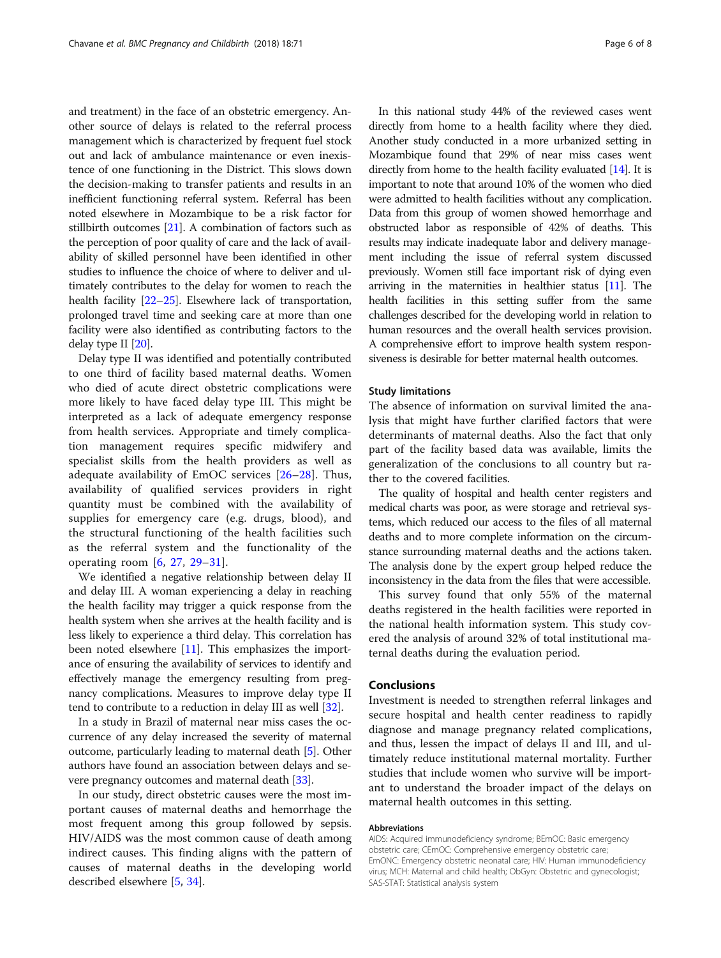and treatment) in the face of an obstetric emergency. Another source of delays is related to the referral process management which is characterized by frequent fuel stock out and lack of ambulance maintenance or even inexistence of one functioning in the District. This slows down the decision-making to transfer patients and results in an inefficient functioning referral system. Referral has been noted elsewhere in Mozambique to be a risk factor for stillbirth outcomes [\[21](#page-6-0)]. A combination of factors such as the perception of poor quality of care and the lack of availability of skilled personnel have been identified in other studies to influence the choice of where to deliver and ultimately contributes to the delay for women to reach the health facility [[22](#page-6-0)–[25\]](#page-6-0). Elsewhere lack of transportation, prolonged travel time and seeking care at more than one facility were also identified as contributing factors to the delay type II [\[20](#page-6-0)].

Delay type II was identified and potentially contributed to one third of facility based maternal deaths. Women who died of acute direct obstetric complications were more likely to have faced delay type III. This might be interpreted as a lack of adequate emergency response from health services. Appropriate and timely complication management requires specific midwifery and specialist skills from the health providers as well as adequate availability of EmOC services [\[26](#page-6-0)–[28](#page-6-0)]. Thus, availability of qualified services providers in right quantity must be combined with the availability of supplies for emergency care (e.g. drugs, blood), and the structural functioning of the health facilities such as the referral system and the functionality of the operating room [[6,](#page-6-0) [27,](#page-6-0) [29](#page-6-0)–[31](#page-6-0)].

We identified a negative relationship between delay II and delay III. A woman experiencing a delay in reaching the health facility may trigger a quick response from the health system when she arrives at the health facility and is less likely to experience a third delay. This correlation has been noted elsewhere [[11](#page-6-0)]. This emphasizes the importance of ensuring the availability of services to identify and effectively manage the emergency resulting from pregnancy complications. Measures to improve delay type II tend to contribute to a reduction in delay III as well [\[32\]](#page-7-0).

In a study in Brazil of maternal near miss cases the occurrence of any delay increased the severity of maternal outcome, particularly leading to maternal death [[5\]](#page-6-0). Other authors have found an association between delays and severe pregnancy outcomes and maternal death [[33](#page-7-0)].

In our study, direct obstetric causes were the most important causes of maternal deaths and hemorrhage the most frequent among this group followed by sepsis. HIV/AIDS was the most common cause of death among indirect causes. This finding aligns with the pattern of causes of maternal deaths in the developing world described elsewhere [\[5](#page-6-0), [34](#page-7-0)].

In this national study 44% of the reviewed cases went directly from home to a health facility where they died. Another study conducted in a more urbanized setting in Mozambique found that 29% of near miss cases went directly from home to the health facility evaluated [\[14\]](#page-6-0). It is important to note that around 10% of the women who died were admitted to health facilities without any complication. Data from this group of women showed hemorrhage and obstructed labor as responsible of 42% of deaths. This results may indicate inadequate labor and delivery management including the issue of referral system discussed previously. Women still face important risk of dying even arriving in the maternities in healthier status [\[11](#page-6-0)]. The health facilities in this setting suffer from the same challenges described for the developing world in relation to human resources and the overall health services provision. A comprehensive effort to improve health system responsiveness is desirable for better maternal health outcomes.

### Study limitations

The absence of information on survival limited the analysis that might have further clarified factors that were determinants of maternal deaths. Also the fact that only part of the facility based data was available, limits the generalization of the conclusions to all country but rather to the covered facilities.

The quality of hospital and health center registers and medical charts was poor, as were storage and retrieval systems, which reduced our access to the files of all maternal deaths and to more complete information on the circumstance surrounding maternal deaths and the actions taken. The analysis done by the expert group helped reduce the inconsistency in the data from the files that were accessible.

This survey found that only 55% of the maternal deaths registered in the health facilities were reported in the national health information system. This study covered the analysis of around 32% of total institutional maternal deaths during the evaluation period.

# Conclusions

Investment is needed to strengthen referral linkages and secure hospital and health center readiness to rapidly diagnose and manage pregnancy related complications, and thus, lessen the impact of delays II and III, and ultimately reduce institutional maternal mortality. Further studies that include women who survive will be important to understand the broader impact of the delays on maternal health outcomes in this setting.

#### Abbreviations

AIDS: Acquired immunodeficiency syndrome; BEmOC: Basic emergency obstetric care; CEmOC: Comprehensive emergency obstetric care; EmONC: Emergency obstetric neonatal care; HIV: Human immunodeficiency virus; MCH: Maternal and child health; ObGyn: Obstetric and gynecologist; SAS-STAT: Statistical analysis system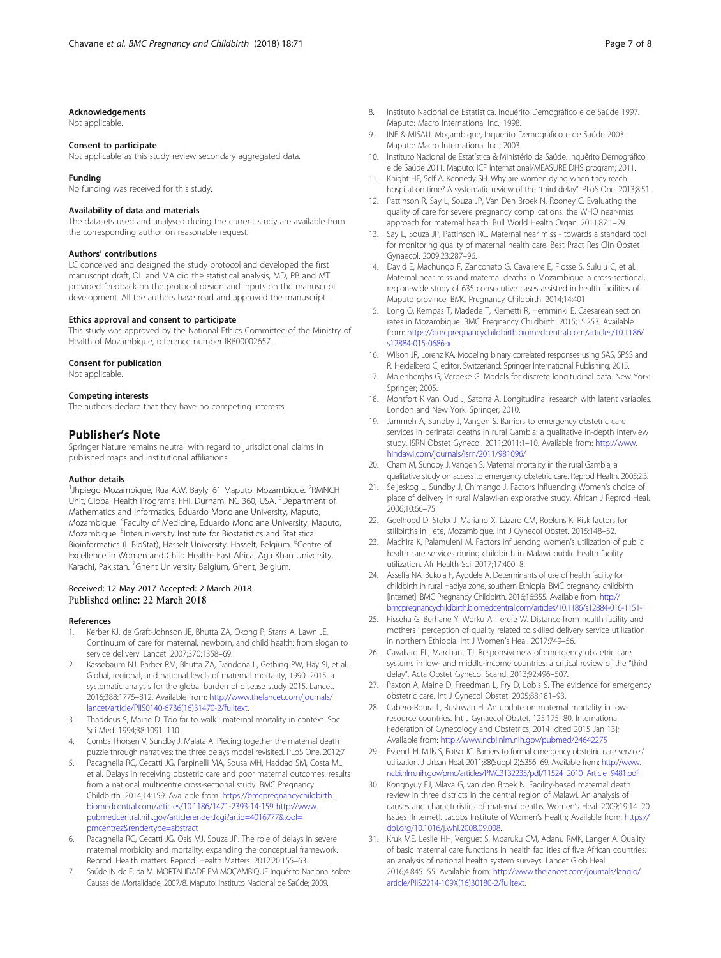#### <span id="page-6-0"></span>Acknowledgements

Not applicable.

### Consent to participate

Not applicable as this study review secondary aggregated data.

#### Funding

No funding was received for this study.

### Availability of data and materials

The datasets used and analysed during the current study are available from the corresponding author on reasonable request.

#### Authors' contributions

LC conceived and designed the study protocol and developed the first manuscript draft, OL and MA did the statistical analysis, MD, PB and MT provided feedback on the protocol design and inputs on the manuscript development. All the authors have read and approved the manuscript.

#### Ethics approval and consent to participate

This study was approved by the National Ethics Committee of the Ministry of Health of Mozambique, reference number IRB00002657.

#### Consent for publication

Not applicable.

# Competing interests

The authors declare that they have no competing interests.

### Publisher's Note

Springer Nature remains neutral with regard to jurisdictional claims in published maps and institutional affiliations.

#### Author details

<sup>1</sup>Jhpiego Mozambique, Rua A.W. Bayly, 61 Maputo, Mozambique. <sup>2</sup>RMNCH Unit, Global Health Programs, FHI, Durham, NC 360, USA. <sup>3</sup>Department of Mathematics and Informatics, Eduardo Mondlane University, Maputo, Mozambique. <sup>4</sup>Faculty of Medicine, Eduardo Mondlane University, Maputo, Mozambique. <sup>5</sup>Interuniversity Institute for Biostatistics and Statistical Bioinformatics (I-BioStat), Hasselt University, Hasselt, Belgium. <sup>6</sup>Centre of Excellence in Women and Child Health- East Africa, Aga Khan University, Karachi, Pakistan. <sup>7</sup>Ghent University Belgium, Ghent, Belgium.

### Received: 12 May 2017 Accepted: 2 March 2018 Published online: 22 March 2018

#### References

- Kerber KJ, de Graft-Johnson JE, Bhutta ZA, Okong P, Starrs A, Lawn JE. Continuum of care for maternal, newborn, and child health: from slogan to service delivery. Lancet. 2007;370:1358–69.
- 2. Kassebaum NJ, Barber RM, Bhutta ZA, Dandona L, Gething PW, Hay SI, et al. Global, regional, and national levels of maternal mortality, 1990–2015: a systematic analysis for the global burden of disease study 2015. Lancet. 2016;388:1775–812. Available from: [http://www.thelancet.com/journals/](http://www.thelancet.com/journals/lancet/article/PIIS0140-6736(16)31470-2/fulltext) [lancet/article/PIIS0140-6736\(16\)31470-2/fulltext.](http://www.thelancet.com/journals/lancet/article/PIIS0140-6736(16)31470-2/fulltext)
- 3. Thaddeus S, Maine D. Too far to walk : maternal mortality in context. Soc Sci Med. 1994;38:1091–110.
- 4. Combs Thorsen V, Sundby J, Malata A. Piecing together the maternal death puzzle through narratives: the three delays model revisited. PLoS One. 2012;7
- Pacagnella RC, Cecatti JG, Parpinelli MA, Sousa MH, Haddad SM, Costa ML, et al. Delays in receiving obstetric care and poor maternal outcomes: results from a national multicentre cross-sectional study. BMC Pregnancy Childbirth. 2014;14:159. Available from: [https://bmcpregnancychildbirth.](https://bmcpregnancychildbirth.biomedcentral.com/articles/10.1186/1471-2393-14-159) [biomedcentral.com/articles/10.1186/1471-2393-14-159](https://bmcpregnancychildbirth.biomedcentral.com/articles/10.1186/1471-2393-14-159) [http://www.](http://www.pubmedcentral.nih.gov/articlerender.fcgi?artid=4016777&tool=pmcentrez&rendertype=abstract) [pubmedcentral.nih.gov/articlerender.fcgi?artid=4016777&tool=](http://www.pubmedcentral.nih.gov/articlerender.fcgi?artid=4016777&tool=pmcentrez&rendertype=abstract) [pmcentrez&rendertype=abstract](http://www.pubmedcentral.nih.gov/articlerender.fcgi?artid=4016777&tool=pmcentrez&rendertype=abstract)
- Pacagnella RC, Cecatti JG, Osis MJ, Souza JP. The role of delays in severe maternal morbidity and mortality: expanding the conceptual framework. Reprod. Health matters. Reprod. Health Matters. 2012;20:155–63.
- 7. Saúde IN de E, da M. MORTALIDADE EM MOÇAMBIQUE Inquérito Nacional sobre Causas de Mortalidade, 2007/8. Maputo: Instituto Nacional de Saúde; 2009.
- 8. Instituto Nacional de Estatistica. Inquérito Demográfico e de Saúde 1997. Maputo: Macro International Inc.; 1998.
- 9. INE & MISAU. Moçambique, Inquerito Demográfico e de Saúde 2003. Maputo: Macro International Inc.; 2003.
- 10. Instituto Nacional de Estatística & Ministério da Saúde. Inquêrito Demográfico e de Saúde 2011. Maputo: ICF International/MEASURE DHS program; 2011.
- 11. Knight HE, Self A, Kennedy SH. Why are women dying when they reach hospital on time? A systematic review of the "third delay". PLoS One. 2013;8:51.
- 12. Pattinson R, Say L, Souza JP, Van Den Broek N, Rooney C. Evaluating the quality of care for severe pregnancy complications: the WHO near-miss approach for maternal health. Bull World Health Organ. 2011;87:1–29.
- 13. Say L, Souza JP, Pattinson RC. Maternal near miss towards a standard tool for monitoring quality of maternal health care. Best Pract Res Clin Obstet Gynaecol. 2009;23:287–96.
- 14. David E, Machungo F, Zanconato G, Cavaliere E, Fiosse S, Sululu C, et al. Maternal near miss and maternal deaths in Mozambique: a cross-sectional, region-wide study of 635 consecutive cases assisted in health facilities of Maputo province. BMC Pregnancy Childbirth. 2014;14:401.
- 15. Long Q, Kempas T, Madede T, Klemetti R, Hemminki E. Caesarean section rates in Mozambique. BMC Pregnancy Childbirth. 2015;15:253. Available from: [https://bmcpregnancychildbirth.biomedcentral.com/articles/10.1186/](https://bmcpregnancychildbirth.biomedcentral.com/articles/10.1186/s12884-015-0686-x) [s12884-015-0686-x](https://bmcpregnancychildbirth.biomedcentral.com/articles/10.1186/s12884-015-0686-x)
- 16. Wilson JR, Lorenz KA. Modeling binary correlated responses using SAS, SPSS and R. Heidelberg C, editor. Switzerland: Springer International Publishing; 2015.
- 17. Molenberghs G, Verbeke G. Models for discrete longitudinal data. New York: Springer; 2005.
- 18. Montfort K Van, Oud J, Satorra A. Longitudinal research with latent variables. London and New York: Springer; 2010.
- 19. Jammeh A, Sundby J, Vangen S. Barriers to emergency obstetric care services in perinatal deaths in rural Gambia: a qualitative in-depth interview study. ISRN Obstet Gynecol. 2011;2011:1–10. Available from: [http://www.](http://www.hindawi.com/journals/isrn/2011/981096/) [hindawi.com/journals/isrn/2011/981096/](http://www.hindawi.com/journals/isrn/2011/981096/)
- 20. Cham M, Sundby J, Vangen S. Maternal mortality in the rural Gambia, a qualitative study on access to emergency obstetric care. Reprod Health. 2005;2:3.
- 21. Seljeskog L, Sundby J, Chimango J. Factors influencing Women's choice of place of delivery in rural Malawi-an explorative study. African J Reprod Heal. 2006;10:66–75.
- 22. Geelhoed D, Stokx J, Mariano X, Lázaro CM, Roelens K. Risk factors for stillbirths in Tete, Mozambique. Int J Gynecol Obstet. 2015:148–52.
- 23. Machira K, Palamuleni M. Factors influencing women's utilization of public health care services during childbirth in Malawi public health facility utilization. Afr Health Sci. 2017;17:400–8.
- 24. Asseffa NA, Bukola F, Ayodele A. Determinants of use of health facility for childbirth in rural Hadiya zone, southern Ethiopia. BMC pregnancy childbirth [internet]. BMC Pregnancy Childbirth. 2016;16:355. Available from: [http://](http://bmcpregnancychildbirth.biomedcentral.com/articles/10.1186/s12884-016-1151-1) [bmcpregnancychildbirth.biomedcentral.com/articles/10.1186/s12884-016-1151-1](http://bmcpregnancychildbirth.biomedcentral.com/articles/10.1186/s12884-016-1151-1)
- 25. Fisseha G, Berhane Y, Worku A, Terefe W. Distance from health facility and mothers ' perception of quality related to skilled delivery service utilization in northern Ethiopia. Int J Women's Heal. 2017:749–56.
- 26. Cavallaro FL, Marchant TJ. Responsiveness of emergency obstetric care systems in low- and middle-income countries: a critical review of the "third delay". Acta Obstet Gynecol Scand. 2013;92:496–507.
- 27. Paxton A, Maine D, Freedman L, Fry D, Lobis S. The evidence for emergency obstetric care. Int J Gynecol Obstet. 2005;88:181–93.
- 28. Cabero-Roura L, Rushwan H. An update on maternal mortality in lowresource countries. Int J Gynaecol Obstet. 125:175–80. International Federation of Gynecology and Obstetrics; 2014 [cited 2015 Jan 13]; Available from: <http://www.ncbi.nlm.nih.gov/pubmed/24642275>
- 29. Essendi H, Mills S, Fotso JC. Barriers to formal emergency obstetric care services' utilization. J Urban Heal. 2011;88(Suppl 2):S356–69. Available from: [http://www.](http://www.ncbi.nlm.nih.gov/pmc/articles/PMC3132235/pdf/11524_2010_Article_9481.pdf) [ncbi.nlm.nih.gov/pmc/articles/PMC3132235/pdf/11524\\_2010\\_Article\\_9481.pdf](http://www.ncbi.nlm.nih.gov/pmc/articles/PMC3132235/pdf/11524_2010_Article_9481.pdf)
- 30. Kongnyuy EJ, Mlava G, van den Broek N. Facility-based maternal death review in three districts in the central region of Malawi. An analysis of causes and characteristics of maternal deaths. Women's Heal. 2009;19:14–20. Issues [Internet]. Jacobs Institute of Women's Health; Available from: [https://](https://doi.org/10.1016/j.whi.2008.09.008) [doi.org/10.1016/j.whi.2008.09.008.](https://doi.org/10.1016/j.whi.2008.09.008)
- 31. Kruk ME, Leslie HH, Verguet S, Mbaruku GM, Adanu RMK, Langer A. Quality of basic maternal care functions in health facilities of five African countries: an analysis of national health system surveys. Lancet Glob Heal. 2016;4:845–55. Available from: [http://www.thelancet.com/journals/langlo/](http://www.thelancet.com/journals/langlo/article/PIIS2214-109X(16)30180-2/fulltext) [article/PIIS2214-109X\(16\)30180-2/fulltext.](http://www.thelancet.com/journals/langlo/article/PIIS2214-109X(16)30180-2/fulltext)